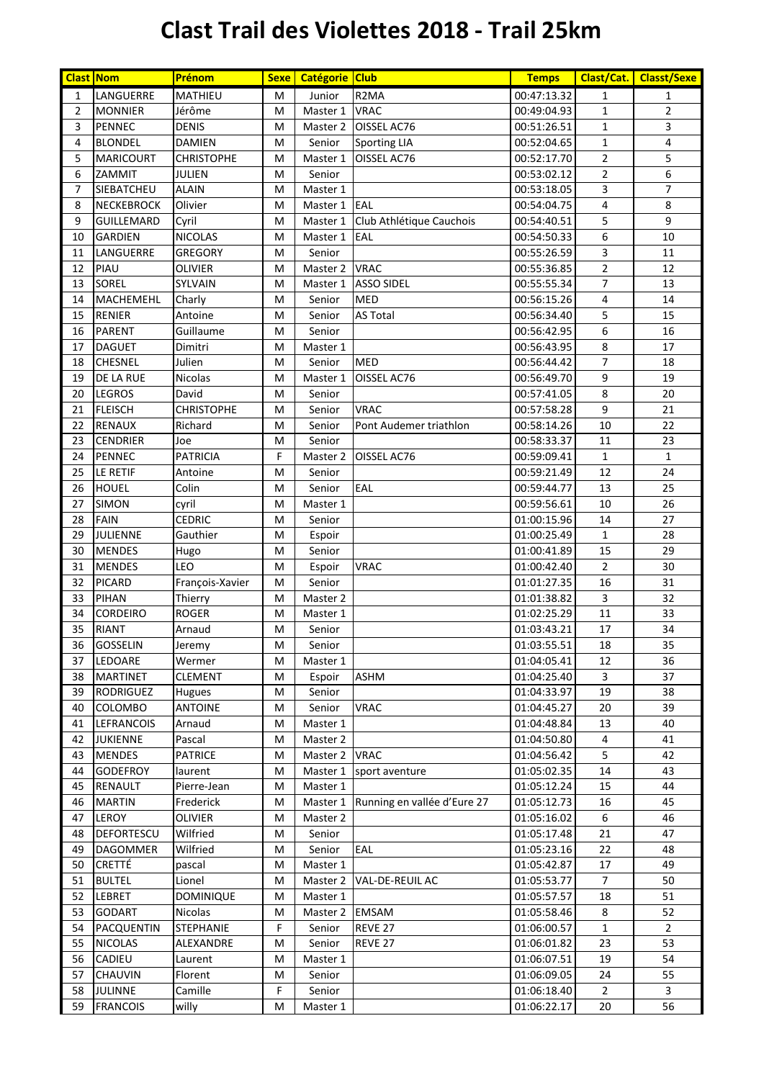## **Clast Trail des Violettes 2018 - Trail 25km**

| <b>Clast Nom</b> |                   | Prénom            | <b>Sexe</b> | Catégorie Club |                             | <b>Temps</b> | Clast/Cat.     | <b>Classt/Sexe</b> |
|------------------|-------------------|-------------------|-------------|----------------|-----------------------------|--------------|----------------|--------------------|
| $\mathbf{1}$     | LANGUERRE         | MATHIEU           | M           | Junior         | R <sub>2</sub> MA           | 00:47:13.32  | $\mathbf{1}$   | $\mathbf{1}$       |
| $\overline{2}$   | <b>MONNIER</b>    | Jérôme            | M           | Master 1       | <b>VRAC</b>                 | 00:49:04.93  | $\mathbf 1$    | $\overline{2}$     |
| 3                | <b>PENNEC</b>     | <b>DENIS</b>      | M           | Master 2       | OISSEL AC76                 | 00:51:26.51  | 1              | 3                  |
| 4                | <b>BLONDEL</b>    | <b>DAMIEN</b>     | M           | Senior         | <b>Sporting LIA</b>         | 00:52:04.65  | $\mathbf 1$    | 4                  |
| 5                | <b>MARICOURT</b>  | <b>CHRISTOPHE</b> | M           | Master 1       | OISSEL AC76                 | 00:52:17.70  | 2              | 5                  |
| 6                | ZAMMIT            | <b>JULIEN</b>     | M           | Senior         |                             | 00:53:02.12  | $\overline{2}$ | 6                  |
| 7                | SIEBATCHEU        | <b>ALAIN</b>      | M           | Master 1       |                             | 00:53:18.05  | 3              | $\overline{7}$     |
| 8                | <b>NECKEBROCK</b> | Olivier           | M           | Master 1       | EAL                         | 00:54:04.75  | 4              | 8                  |
| 9                | <b>GUILLEMARD</b> | Cyril             | M           | Master 1       | Club Athlétique Cauchois    | 00:54:40.51  | 5              | 9                  |
| 10               | <b>GARDIEN</b>    | <b>NICOLAS</b>    | M           | Master 1       | EAL                         | 00:54:50.33  | 6              | 10                 |
| 11               | LANGUERRE         | <b>GREGORY</b>    | M           | Senior         |                             | 00:55:26.59  | 3              | 11                 |
| 12               | PIAU              | OLIVIER           | M           | Master 2       | <b>VRAC</b>                 | 00:55:36.85  | $\overline{2}$ | 12                 |
| 13               | SOREL             | SYLVAIN           | M           | Master 1       | <b>ASSO SIDEL</b>           | 00:55:55.34  | $\overline{7}$ | 13                 |
| 14               | MACHEMEHL         | Charly            | M           | Senior         | <b>MED</b>                  | 00:56:15.26  | 4              | 14                 |
| 15               | <b>RENIER</b>     | Antoine           | M           | Senior         | <b>AS Total</b>             | 00:56:34.40  | 5              | 15                 |
| 16               | <b>PARENT</b>     | Guillaume         | M           | Senior         |                             | 00:56:42.95  | 6              | 16                 |
| 17               | <b>DAGUET</b>     | Dimitri           | M           | Master 1       |                             | 00:56:43.95  | 8              | 17                 |
| 18               | <b>CHESNEL</b>    | Julien            | M           | Senior         | <b>MED</b>                  | 00:56:44.42  | 7              | 18                 |
| 19               | DE LA RUE         | Nicolas           | M           | Master 1       | OISSEL AC76                 | 00:56:49.70  | 9              | 19                 |
| 20               | <b>LEGROS</b>     | David             | M           | Senior         |                             | 00:57:41.05  | 8              | 20                 |
| 21               | <b>FLEISCH</b>    | <b>CHRISTOPHE</b> | M           | Senior         | <b>VRAC</b>                 | 00:57:58.28  | 9              | 21                 |
| 22               | <b>RENAUX</b>     | Richard           | M           | Senior         | Pont Audemer triathlon      | 00:58:14.26  | 10             | 22                 |
| 23               | <b>CENDRIER</b>   | Joe               | M           | Senior         |                             | 00:58:33.37  | 11             | 23                 |
| 24               | <b>PENNEC</b>     | <b>PATRICIA</b>   | F           | Master 2       | OISSEL AC76                 | 00:59:09.41  | $\mathbf 1$    | $\mathbf{1}$       |
| 25               | LE RETIF          | Antoine           | M           | Senior         |                             | 00:59:21.49  | 12             | 24                 |
| 26               | <b>HOUEL</b>      | Colin             | M           | Senior         | EAL                         | 00:59:44.77  | 13             | 25                 |
| 27               | <b>SIMON</b>      | cyril             | M           | Master 1       |                             | 00:59:56.61  | 10             | 26                 |
| 28               | <b>FAIN</b>       | <b>CEDRIC</b>     | M           | Senior         |                             | 01:00:15.96  | 14             | 27                 |
| 29               | JULIENNE          | Gauthier          | M           | Espoir         |                             | 01:00:25.49  | $\mathbf{1}$   | 28                 |
| 30               | <b>MENDES</b>     | Hugo              | M           | Senior         |                             | 01:00:41.89  | 15             | 29                 |
| 31               | <b>MENDES</b>     | LEO               | M           | Espoir         | <b>VRAC</b>                 | 01:00:42.40  | $\overline{2}$ | 30                 |
| 32               | <b>PICARD</b>     | François-Xavier   | M           | Senior         |                             | 01:01:27.35  | 16             | 31                 |
| 33               | PIHAN             | Thierry           | M           | Master 2       |                             | 01:01:38.82  | 3              | 32                 |
| 34               | <b>CORDEIRO</b>   | <b>ROGER</b>      | M           | Master 1       |                             | 01:02:25.29  | 11             | 33                 |
| 35               | <b>RIANT</b>      | Arnaud            | М           | Senior         |                             | 01:03:43.21  | 17             | 34                 |
| 36               | GOSSELIN          | Jeremy            | M           | Senior         |                             | 01:03:55.51  | 18             | 35                 |
| 37               | LEDOARE           | Wermer            | M           | Master 1       |                             | 01:04:05.41  | 12             | 36                 |
| 38               | <b>MARTINET</b>   | CLEMENT           | M           | Espoir         | <b>ASHM</b>                 | 01:04:25.40  | 3              | 37                 |
| 39               | <b>RODRIGUEZ</b>  | Hugues            | M           | Senior         |                             | 01:04:33.97  | 19             | 38                 |
| 40               | <b>COLOMBO</b>    | <b>ANTOINE</b>    | M           | Senior         | <b>VRAC</b>                 | 01:04:45.27  | 20             | 39                 |
| 41               | <b>LEFRANCOIS</b> | Arnaud            | M           | Master 1       |                             | 01:04:48.84  | 13             | 40                 |
| 42               | <b>JUKIENNE</b>   | Pascal            | M           | Master 2       |                             | 01:04:50.80  | 4              | 41                 |
| 43               | <b>MENDES</b>     | <b>PATRICE</b>    | М           | Master 2       | <b>VRAC</b>                 | 01:04:56.42  | 5              | 42                 |
| 44               | <b>GODEFROY</b>   | laurent           | M           | Master 1       | sport aventure              | 01:05:02.35  | 14             | 43                 |
| 45               | RENAULT           | Pierre-Jean       | М           | Master 1       |                             | 01:05:12.24  | 15             | 44                 |
| 46               | <b>MARTIN</b>     | Frederick         | М           | Master 1       | Running en vallée d'Eure 27 | 01:05:12.73  | 16             | 45                 |
| 47               | LEROY             | OLIVIER           | М           | Master 2       |                             | 01:05:16.02  | 6              | 46                 |
| 48               | DEFORTESCU        | Wilfried          | M           | Senior         |                             | 01:05:17.48  | 21             | 47                 |
| 49               | <b>DAGOMMER</b>   | Wilfried          | M           | Senior         | EAL                         | 01:05:23.16  | 22             | 48                 |
| 50               | CRETTÉ            | pascal            | M           | Master 1       |                             | 01:05:42.87  | 17             | 49                 |
| 51               | <b>BULTEL</b>     | Lionel            | M           | Master 2       | VAL-DE-REUIL AC             | 01:05:53.77  | $\overline{7}$ | 50                 |
| 52               | LEBRET            | <b>DOMINIQUE</b>  | М           | Master 1       |                             | 01:05:57.57  | 18             | 51                 |
| 53               | <b>GODART</b>     | Nicolas           | М           | Master 2       | <b>EMSAM</b>                | 01:05:58.46  | 8              | 52                 |
| 54               | <b>PACQUENTIN</b> | <b>STEPHANIE</b>  | F           | Senior         | REVE 27                     | 01:06:00.57  | $\mathbf{1}$   | $\overline{2}$     |
| 55               | <b>NICOLAS</b>    | ALEXANDRE         | M           | Senior         | REVE 27                     | 01:06:01.82  | 23             | 53                 |
| 56               | CADIEU            | Laurent           | M           | Master 1       |                             | 01:06:07.51  | 19             | 54                 |
| 57               | CHAUVIN           | Florent           | M           | Senior         |                             | 01:06:09.05  | 24             | 55                 |
| 58               | JULINNE           | Camille           | F           | Senior         |                             | 01:06:18.40  | $\overline{2}$ | 3                  |
| 59               | <b>FRANCOIS</b>   | willy             | M           | Master 1       |                             | 01:06:22.17  | 20             | 56                 |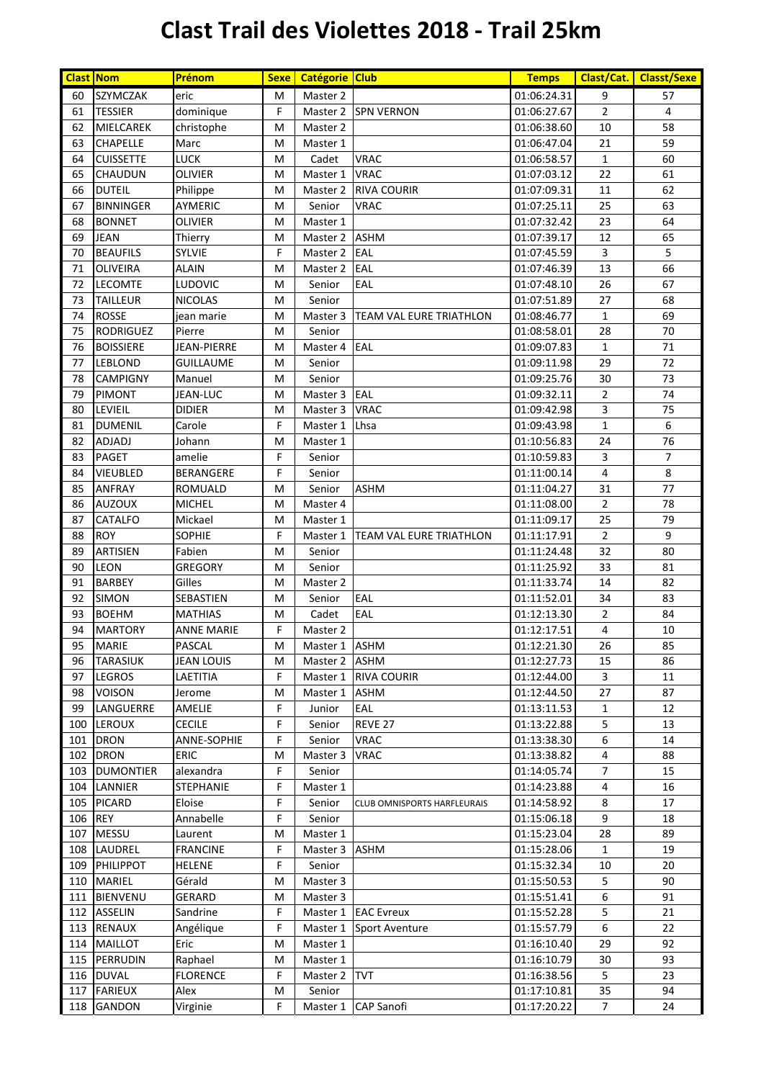## **Clast Trail des Violettes 2018 - Trail 25km**

| <b>Clast Nom</b> |                  | Prénom            | <b>Sexe</b> | Catégorie Club |                                | <b>Temps</b> |                | Clast/Cat.   Classt/Sexe |
|------------------|------------------|-------------------|-------------|----------------|--------------------------------|--------------|----------------|--------------------------|
| 60               | <b>SZYMCZAK</b>  | eric              | M           | Master 2       |                                | 01:06:24.31  | 9              | 57                       |
| 61               | <b>TESSIER</b>   | dominique         | F           | Master 2       | <b>SPN VERNON</b>              | 01:06:27.67  | $\overline{2}$ | $\overline{4}$           |
| 62               | MIELCAREK        | christophe        | M           | Master 2       |                                | 01:06:38.60  | 10             | 58                       |
| 63               | <b>CHAPELLE</b>  | Marc              | M           | Master 1       |                                | 01:06:47.04  | 21             | 59                       |
| 64               | <b>CUISSETTE</b> | <b>LUCK</b>       | M           | Cadet          | <b>VRAC</b>                    | 01:06:58.57  | $\mathbf 1$    | 60                       |
| 65               | <b>CHAUDUN</b>   | OLIVIER           | M           | Master 1       | <b>VRAC</b>                    | 01:07:03.12  | 22             | 61                       |
| 66               | <b>DUTEIL</b>    | Philippe          | M           | Master 2       | <b>RIVA COURIR</b>             | 01:07:09.31  | 11             | 62                       |
| 67               | <b>BINNINGER</b> | AYMERIC           | M           | Senior         | <b>VRAC</b>                    | 01:07:25.11  | 25             | 63                       |
| 68               | <b>BONNET</b>    | OLIVIER           | M           | Master 1       |                                | 01:07:32.42  | 23             | 64                       |
| 69               | <b>JEAN</b>      | Thierry           | M           | Master 2       | <b>ASHM</b>                    | 01:07:39.17  | 12             | 65                       |
| 70               | <b>BEAUFILS</b>  | SYLVIE            | F           | Master 2       | EAL                            | 01:07:45.59  | $\overline{3}$ | 5                        |
| 71               | <b>OLIVEIRA</b>  | ALAIN             | M           | Master 2       | EAL                            | 01:07:46.39  | 13             | 66                       |
| 72               | LECOMTE          | LUDOVIC           | M           | Senior         | EAL                            | 01:07:48.10  | 26             | 67                       |
| 73               | <b>TAILLEUR</b>  | <b>NICOLAS</b>    | M           | Senior         |                                | 01:07:51.89  | 27             | 68                       |
| 74               | <b>ROSSE</b>     | jean marie        | M           | Master 3       | TEAM VAL EURE TRIATHLON        | 01:08:46.77  | $\mathbf{1}$   | 69                       |
| 75               | <b>RODRIGUEZ</b> | Pierre            | M           | Senior         |                                | 01:08:58.01  | 28             | 70                       |
| 76               | <b>BOISSIERE</b> | JEAN-PIERRE       | M           | Master 4       | EAL                            | 01:09:07.83  | $\mathbf{1}$   | 71                       |
| 77               | <b>LEBLOND</b>   | GUILLAUME         | M           | Senior         |                                | 01:09:11.98  | 29             | 72                       |
| 78               | <b>CAMPIGNY</b>  | Manuel            | M           | Senior         |                                | 01:09:25.76  | 30             | 73                       |
| 79               | PIMONT           | JEAN-LUC          | M           | Master 3       | <b>IEAL</b>                    | 01:09:32.11  | $\overline{2}$ | 74                       |
| 80               | LEVIEIL          | <b>DIDIER</b>     | M           | Master 3       | <b>VRAC</b>                    | 01:09:42.98  | 3              | 75                       |
| 81               | <b>DUMENIL</b>   | Carole            | F           | Master 1       | Lhsa                           | 01:09:43.98  | $\mathbf{1}$   | 6                        |
| 82               | ADJADJ           | Johann            | M           | Master 1       |                                | 01:10:56.83  | 24             | 76                       |
| 83               | <b>PAGET</b>     | amelie            | F           | Senior         |                                | 01:10:59.83  | $\mathsf{3}$   | $\overline{7}$           |
| 84               | <b>VIEUBLED</b>  | <b>BERANGERE</b>  | F           | Senior         |                                | 01:11:00.14  | $\sqrt{4}$     | 8                        |
| 85               | <b>ANFRAY</b>    | ROMUALD           | M           | Senior         | <b>ASHM</b>                    | 01:11:04.27  | 31             | 77                       |
| 86               | <b>AUZOUX</b>    | <b>MICHEL</b>     | M           | Master 4       |                                | 01:11:08.00  | $\overline{2}$ | 78                       |
| 87               | CATALFO          | Mickael           | M           | Master 1       |                                | 01:11:09.17  | 25             | 79                       |
| 88               | <b>ROY</b>       | <b>SOPHIE</b>     | F           | Master 1       | <b>TEAM VAL EURE TRIATHLON</b> | 01:11:17.91  | $\overline{2}$ | 9                        |
| 89               | <b>ARTISIEN</b>  | Fabien            | M           | Senior         |                                | 01:11:24.48  | 32             | 80                       |
| 90               | <b>LEON</b>      | <b>GREGORY</b>    | M           | Senior         |                                | 01:11:25.92  | 33             | 81                       |
| 91               | <b>BARBEY</b>    | Gilles            | M           | Master 2       |                                | 01:11:33.74  | 14             | 82                       |
| 92               | <b>SIMON</b>     | SEBASTIEN         | М           | Senior         | EAL                            | 01:11:52.01  | 34             | 83                       |
| 93               | <b>BOEHM</b>     | <b>MATHIAS</b>    | M           | Cadet          | EAL                            | 01:12:13.30  | $\overline{2}$ | 84                       |
| 94               | <b>MARTORY</b>   | <b>ANNE MARIE</b> | F           | Master 2       |                                | 01:12:17.51  | 4              | 10                       |
| 95               | <b>MARIE</b>     | PASCAL            | ${\sf M}$   | Master 1 ASHM  |                                | 01:12:21.30  | 26             | 85                       |
| 96               | <b>TARASIUK</b>  | <b>JEAN LOUIS</b> | м           | Master 2 ASHM  |                                | 01:12:27.73  | 15             | 86                       |
| 97               | <b>LEGROS</b>    | LAETITIA          | F           |                | Master 1 RIVA COURIR           | 01:12:44.00  | $\mathbf{3}$   | 11                       |
| 98               | <b>VOISON</b>    | Jerome            | M           | Master 1       | <b>ASHM</b>                    | 01:12:44.50  | 27             | 87                       |
| 99               | LANGUERRE        | AMELIE            | F           | Junior         | EAL                            | 01:13:11.53  | $\mathbf{1}$   | 12                       |
| 100              | <b>LEROUX</b>    | <b>CECILE</b>     | F           | Senior         | REVE 27                        | 01:13:22.88  | 5              | 13                       |
| 101              | <b>DRON</b>      | ANNE-SOPHIE       | F           | Senior         | VRAC                           | 01:13:38.30  | 6              | 14                       |
| 102              | <b>DRON</b>      | ERIC              | M           | Master 3       | VRAC                           | 01:13:38.82  | 4              | 88                       |
| 103              | <b>DUMONTIER</b> | alexandra         | F           | Senior         |                                | 01:14:05.74  | $\overline{7}$ | 15                       |
| 104              | <b>LANNIER</b>   | <b>STEPHANIE</b>  | F           | Master 1       |                                | 01:14:23.88  | 4              | 16                       |
|                  | 105 PICARD       | Eloise            | F           | Senior         | CLUB OMNISPORTS HARFLEURAIS    | 01:14:58.92  | 8              | 17                       |
| 106 REY          |                  | Annabelle         | F           | Senior         |                                | 01:15:06.18  | 9              | 18                       |
| 107              | <b>MESSU</b>     | Laurent           | M           | Master 1       |                                | 01:15:23.04  | 28             | 89                       |
|                  | 108 LAUDREL      | <b>FRANCINE</b>   | F           | Master 3       | <b>ASHM</b>                    | 01:15:28.06  | $\mathbf{1}$   | 19                       |
|                  | 109 PHILIPPOT    | <b>HELENE</b>     | F           | Senior         |                                | 01:15:32.34  | 10             | 20                       |
|                  | 110 MARIEL       | Gérald            | M           | Master 3       |                                | 01:15:50.53  | 5              | 90                       |
|                  | 111 BIENVENU     | GERARD            | М           | Master 3       |                                | 01:15:51.41  | 6              | 91                       |
|                  | 112 ASSELIN      | Sandrine          | F           |                | Master 1 EAC Evreux            | 01:15:52.28  | 5              | 21                       |
|                  | 113 RENAUX       | Angélique         | F           |                | Master 1 Sport Aventure        | 01:15:57.79  | 6              | 22                       |
|                  | 114 MAILLOT      | Eric              | М           | Master 1       |                                | 01:16:10.40  | 29             | 92                       |
|                  | 115 PERRUDIN     | Raphael           | М           | Master 1       |                                | 01:16:10.79  | 30             | 93                       |
|                  | 116 DUVAL        | <b>FLORENCE</b>   | F           | Master 2       | <b>TVT</b>                     | 01:16:38.56  | 5              | 23                       |
|                  | 117 FARIEUX      | Alex              | м           | Senior         |                                | 01:17:10.81  | 35             | 94                       |
| 118              | <b>GANDON</b>    | Virginie          | F           | Master 1       | <b>CAP Sanofi</b>              | 01:17:20.22  | 7              | 24                       |
|                  |                  |                   |             |                |                                |              |                |                          |